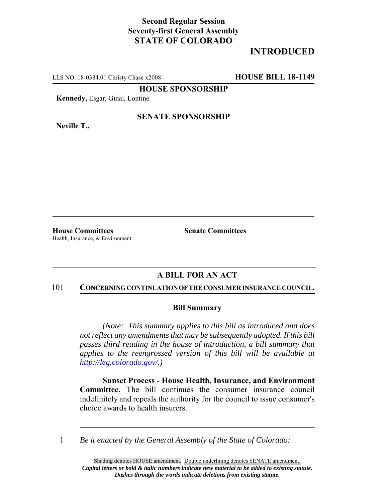## **Second Regular Session Seventy-first General Assembly STATE OF COLORADO**

# **INTRODUCED**

LLS NO. 18-0384.01 Christy Chase x2008 **HOUSE BILL 18-1149**

**HOUSE SPONSORSHIP**

**Kennedy,** Esgar, Ginal, Lontine

**Neville T.,**

### **SENATE SPONSORSHIP**

**House Committees Senate Committees** Health, Insurance, & Environment

## **A BILL FOR AN ACT**

#### 101 **CONCERNING CONTINUATION OF THE CONSUMER INSURANCE COUNCIL.**

### **Bill Summary**

*(Note: This summary applies to this bill as introduced and does not reflect any amendments that may be subsequently adopted. If this bill passes third reading in the house of introduction, a bill summary that applies to the reengrossed version of this bill will be available at http://leg.colorado.gov/.)*

**Sunset Process - House Health, Insurance, and Environment Committee.** The bill continues the consumer insurance council indefinitely and repeals the authority for the council to issue consumer's choice awards to health insurers.

1 *Be it enacted by the General Assembly of the State of Colorado:*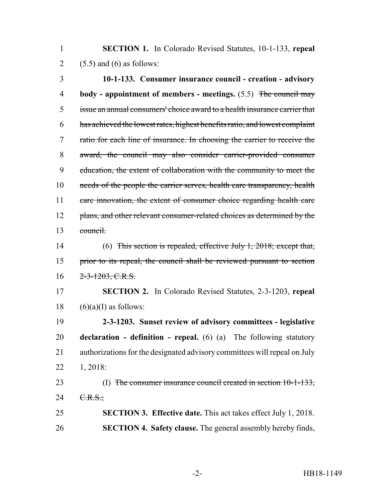**SECTION 1.** In Colorado Revised Statutes, 10-1-133, **repeal** 2 (5.5) and (6) as follows:

 **10-1-133. Consumer insurance council - creation - advisory body - appointment of members - meetings.** (5.5) The council may issue an annual consumers' choice award to a health insurance carrier that has achieved the lowest rates, highest benefits ratio, and lowest complaint ratio for each line of insurance. In choosing the carrier to receive the award, the council may also consider carrier-provided consumer education, the extent of collaboration with the community to meet the 10 needs of the people the carrier serves, health care transparency, health 11 care innovation, the extent of consumer choice regarding health care 12 plans, and other relevant consumer-related choices as determined by the council.

 (6) This section is repealed, effective July 1, 2018; except that, prior to its repeal, the council shall be reviewed pursuant to section  $16 \quad 2 - 3 - 1203, \text{C.R.S.}$ 

 **SECTION 2.** In Colorado Revised Statutes, 2-3-1203, **repeal** 18  $(6)(a)(I)$  as follows:

 **2-3-1203. Sunset review of advisory committees - legislative declaration - definition - repeal.** (6) (a) The following statutory authorizations for the designated advisory committees will repeal on July 1, 2018:

23 (I) The consumer insurance council created in section 10-1-133, 24  $C.R.S.$ ;

 **SECTION 3. Effective date.** This act takes effect July 1, 2018. **SECTION 4. Safety clause.** The general assembly hereby finds,